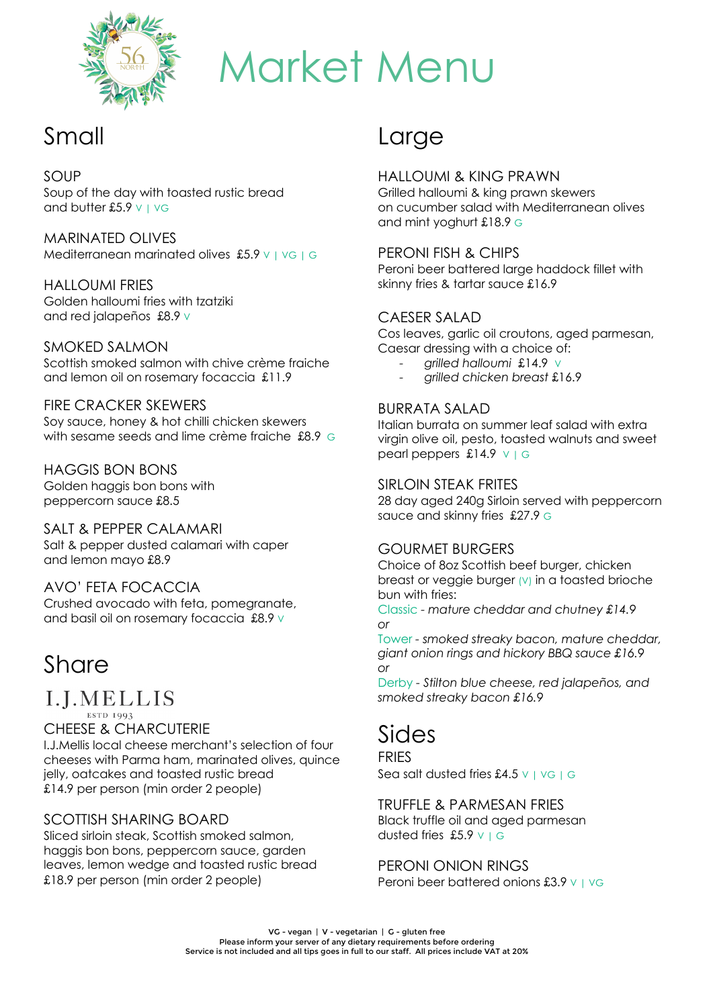

# Market Menu

## Small

#### SOUP

Soup of the day with toasted rustic bread and butter £5.9  $\vee$  |  $\vee$ G

MARINATED OLIVES Mediterranean marinated olives £5.9 V | VG | G

HALLOUMI FRIES Golden halloumi fries with tzatziki and red jalapeños £8.9 V

SMOKED SALMON Scottish smoked salmon with chive crème fraiche and lemon oil on rosemary focaccia £11.9

FIRE CRACKER SKEWERS Soy sauce, honey & hot chilli chicken skewers with sesame seeds and lime crème fraiche £8.9 G

HAGGIS BON BONS Golden haggis bon bons with peppercorn sauce £8.5

SALT & PEPPER CALAMARI Salt & pepper dusted calamari with caper and lemon mayo £8.9

AVO' FETA FOCACCIA Crushed avocado with feta, pomegranate, and basil oil on rosemary focaccia £8.9 v

## Share

#### I.J.MELLIS ESTD 1993

CHEESE & CHARCUTERIE I.J.Mellis local cheese merchant's selection of four cheeses with Parma ham, marinated olives, quince jelly, oatcakes and toasted rustic bread

£14.9 per person (min order 2 people)

#### SCOTTISH SHARING BOARD

Sliced sirloin steak, Scottish smoked salmon, haggis bon bons, peppercorn sauce, garden leaves, lemon wedge and toasted rustic bread £18.9 per person (min order 2 people)

## **Large**

#### HALLOUMI & KING PRAWN

Grilled halloumi & king prawn skewers on cucumber salad with Mediterranean olives and mint yoghurt £18.9 G

#### PERONI FISH & CHIPS

Peroni beer battered large haddock fillet with skinny fries & tartar sauce £16.9

#### CAESER SALAD

Cos leaves, garlic oil croutons, aged parmesan, Caesar dressing with a choice of:

- *- grilled halloumi* £14.9 V
- *- grilled chicken breast* £16.9

#### BURRATA SALAD

Italian burrata on summer leaf salad with extra virgin olive oil, pesto, toasted walnuts and sweet pearl peppers £14.9 V | G

#### SIRLOIN STEAK FRITES

28 day aged 240g Sirloin served with peppercorn sauce and skinny fries £27.9 G

#### GOURMET BURGERS

Choice of 8oz Scottish beef burger, chicken breast or veggie burger (V) in a toasted brioche bun with fries:

Classic *- mature cheddar and chutney £14.9 or*

Tower *- smoked streaky bacon, mature cheddar, giant onion rings and hickory BBQ sauce £16.9 or*

Derby *- Stilton blue cheese, red jalapeños, and smoked streaky bacon £16.9*

## Sides

**FRIES** Sea salt dusted fries £4.5  $\vee$  |  $\vee$ G | G

TRUFFLE & PARMESAN FRIES

Black truffle oil and aged parmesan dusted fries £5.9  $V$  | G

PERONI ONION RINGS Peroni beer battered onions £3.9 V | VG